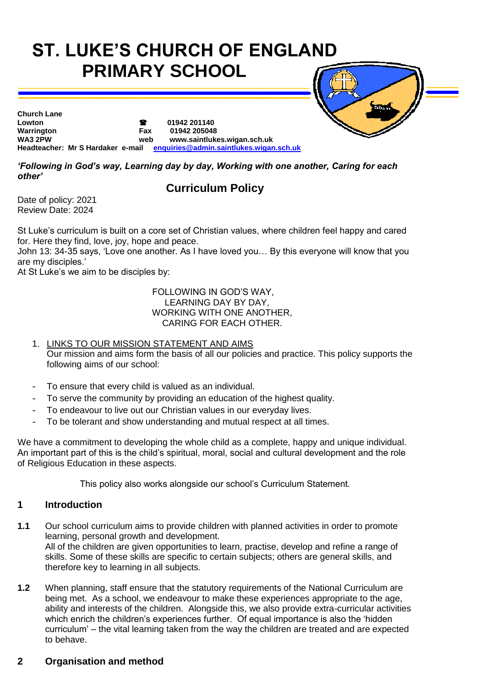# **ST. LUKE'S CHURCH OF ENGLAND PRIMARY SCHOOL**



**Church Lane Lowton 01942 201140 Warrington Fax 01942 205048 WA3 2PW web www.saintlukes.wigan.sch.uk Headteacher: Mr S Hardaker e-mail [enquiries@admin.saintlukes.wigan.sch.uk](mailto:enquiries@admin.saintlukes.wigan.sch.uk)**

*'Following in God's way, Learning day by day, Working with one another, Caring for each other'*

# **Curriculum Policy**

Date of policy: 2021 Review Date: 2024

St Luke's curriculum is built on a core set of Christian values, where children feel happy and cared for. Here they find, love, joy, hope and peace.

John 13: 34-35 says, 'Love one another. As I have loved you… By this everyone will know that you are my disciples.'

At St Luke's we aim to be disciples by:

 FOLLOWING IN GOD'S WAY, LEARNING DAY BY DAY, WORKING WITH ONE ANOTHER, CARING FOR EACH OTHER.

- 1. LINKS TO OUR MISSION STATEMENT AND AIMS Our mission and aims form the basis of all our policies and practice. This policy supports the following aims of our school:
- To ensure that every child is valued as an individual.
- To serve the community by providing an education of the highest quality.
- To endeavour to live out our Christian values in our everyday lives.
- To be tolerant and show understanding and mutual respect at all times.

We have a commitment to developing the whole child as a complete, happy and unique individual. An important part of this is the child's spiritual, moral, social and cultural development and the role of Religious Education in these aspects.

This policy also works alongside our school's Curriculum Statement.

#### **1 Introduction**

- **1.1** Our school curriculum aims to provide children with planned activities in order to promote learning, personal growth and development. All of the children are given opportunities to learn, practise, develop and refine a range of skills. Some of these skills are specific to certain subjects; others are general skills, and therefore key to learning in all subjects.
- **1.2** When planning, staff ensure that the statutory requirements of the National Curriculum are being met. As a school, we endeavour to make these experiences appropriate to the age, ability and interests of the children. Alongside this, we also provide extra-curricular activities which enrich the children's experiences further. Of equal importance is also the 'hidden curriculum' – the vital learning taken from the way the children are treated and are expected to behave.

#### **2 Organisation and method**